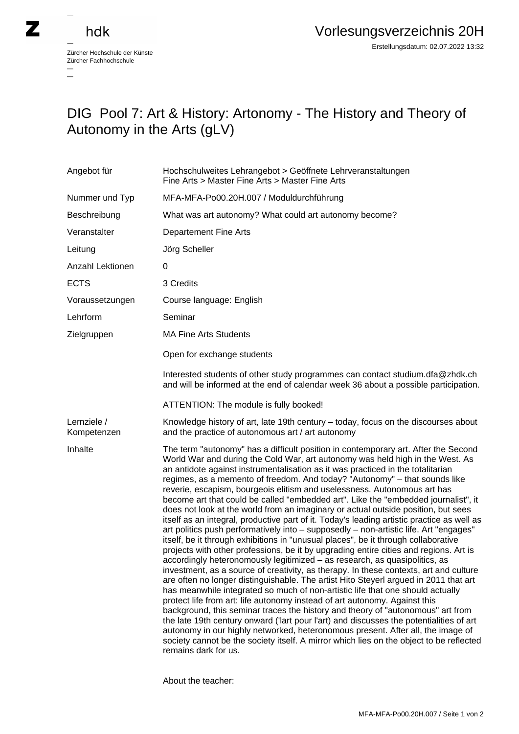## hdk

 $\overline{\phantom{a}}$ 

Zürcher Hochschule der Künste Zürcher Fachhochschule —

## DIG Pool 7: Art & History: Artonomy - The History and Theory of Autonomy in the Arts (gLV)

| Angebot für                | Hochschulweites Lehrangebot > Geöffnete Lehrveranstaltungen<br>Fine Arts > Master Fine Arts > Master Fine Arts                                                                                                                                                                                                                                                                                                                                                                                                                                                                                                                                                                                                                                                                                                                                                                                                                                                                                                                                                                                                                                                                                                                                                                                                                                                                                                                                                                                                                                                                                                                                                                                                                                                                       |
|----------------------------|--------------------------------------------------------------------------------------------------------------------------------------------------------------------------------------------------------------------------------------------------------------------------------------------------------------------------------------------------------------------------------------------------------------------------------------------------------------------------------------------------------------------------------------------------------------------------------------------------------------------------------------------------------------------------------------------------------------------------------------------------------------------------------------------------------------------------------------------------------------------------------------------------------------------------------------------------------------------------------------------------------------------------------------------------------------------------------------------------------------------------------------------------------------------------------------------------------------------------------------------------------------------------------------------------------------------------------------------------------------------------------------------------------------------------------------------------------------------------------------------------------------------------------------------------------------------------------------------------------------------------------------------------------------------------------------------------------------------------------------------------------------------------------------|
| Nummer und Typ             | MFA-MFA-Po00.20H.007 / Moduldurchführung                                                                                                                                                                                                                                                                                                                                                                                                                                                                                                                                                                                                                                                                                                                                                                                                                                                                                                                                                                                                                                                                                                                                                                                                                                                                                                                                                                                                                                                                                                                                                                                                                                                                                                                                             |
| Beschreibung               | What was art autonomy? What could art autonomy become?                                                                                                                                                                                                                                                                                                                                                                                                                                                                                                                                                                                                                                                                                                                                                                                                                                                                                                                                                                                                                                                                                                                                                                                                                                                                                                                                                                                                                                                                                                                                                                                                                                                                                                                               |
| Veranstalter               | <b>Departement Fine Arts</b>                                                                                                                                                                                                                                                                                                                                                                                                                                                                                                                                                                                                                                                                                                                                                                                                                                                                                                                                                                                                                                                                                                                                                                                                                                                                                                                                                                                                                                                                                                                                                                                                                                                                                                                                                         |
| Leitung                    | Jörg Scheller                                                                                                                                                                                                                                                                                                                                                                                                                                                                                                                                                                                                                                                                                                                                                                                                                                                                                                                                                                                                                                                                                                                                                                                                                                                                                                                                                                                                                                                                                                                                                                                                                                                                                                                                                                        |
| Anzahl Lektionen           | 0                                                                                                                                                                                                                                                                                                                                                                                                                                                                                                                                                                                                                                                                                                                                                                                                                                                                                                                                                                                                                                                                                                                                                                                                                                                                                                                                                                                                                                                                                                                                                                                                                                                                                                                                                                                    |
| <b>ECTS</b>                | 3 Credits                                                                                                                                                                                                                                                                                                                                                                                                                                                                                                                                                                                                                                                                                                                                                                                                                                                                                                                                                                                                                                                                                                                                                                                                                                                                                                                                                                                                                                                                                                                                                                                                                                                                                                                                                                            |
| Voraussetzungen            | Course language: English                                                                                                                                                                                                                                                                                                                                                                                                                                                                                                                                                                                                                                                                                                                                                                                                                                                                                                                                                                                                                                                                                                                                                                                                                                                                                                                                                                                                                                                                                                                                                                                                                                                                                                                                                             |
| Lehrform                   | Seminar                                                                                                                                                                                                                                                                                                                                                                                                                                                                                                                                                                                                                                                                                                                                                                                                                                                                                                                                                                                                                                                                                                                                                                                                                                                                                                                                                                                                                                                                                                                                                                                                                                                                                                                                                                              |
| Zielgruppen                | <b>MA Fine Arts Students</b>                                                                                                                                                                                                                                                                                                                                                                                                                                                                                                                                                                                                                                                                                                                                                                                                                                                                                                                                                                                                                                                                                                                                                                                                                                                                                                                                                                                                                                                                                                                                                                                                                                                                                                                                                         |
|                            | Open for exchange students                                                                                                                                                                                                                                                                                                                                                                                                                                                                                                                                                                                                                                                                                                                                                                                                                                                                                                                                                                                                                                                                                                                                                                                                                                                                                                                                                                                                                                                                                                                                                                                                                                                                                                                                                           |
|                            | Interested students of other study programmes can contact studium.dfa@zhdk.ch<br>and will be informed at the end of calendar week 36 about a possible participation.                                                                                                                                                                                                                                                                                                                                                                                                                                                                                                                                                                                                                                                                                                                                                                                                                                                                                                                                                                                                                                                                                                                                                                                                                                                                                                                                                                                                                                                                                                                                                                                                                 |
|                            | ATTENTION: The module is fully booked!                                                                                                                                                                                                                                                                                                                                                                                                                                                                                                                                                                                                                                                                                                                                                                                                                                                                                                                                                                                                                                                                                                                                                                                                                                                                                                                                                                                                                                                                                                                                                                                                                                                                                                                                               |
| Lernziele /<br>Kompetenzen | Knowledge history of art, late 19th century - today, focus on the discourses about<br>and the practice of autonomous art / art autonomy                                                                                                                                                                                                                                                                                                                                                                                                                                                                                                                                                                                                                                                                                                                                                                                                                                                                                                                                                                                                                                                                                                                                                                                                                                                                                                                                                                                                                                                                                                                                                                                                                                              |
| Inhalte                    | The term "autonomy" has a difficult position in contemporary art. After the Second<br>World War and during the Cold War, art autonomy was held high in the West. As<br>an antidote against instrumentalisation as it was practiced in the totalitarian<br>regimes, as a memento of freedom. And today? "Autonomy" - that sounds like<br>reverie, escapism, bourgeois elitism and uselessness. Autonomous art has<br>become art that could be called "embedded art". Like the "embedded journalist", it<br>does not look at the world from an imaginary or actual outside position, but sees<br>itself as an integral, productive part of it. Today's leading artistic practice as well as<br>art politics push performatively into - supposedly - non-artistic life. Art "engages"<br>itself, be it through exhibitions in "unusual places", be it through collaborative<br>projects with other professions, be it by upgrading entire cities and regions. Art is<br>accordingly heteronomously legitimized - as research, as quasipolitics, as<br>investment, as a source of creativity, as therapy. In these contexts, art and culture<br>are often no longer distinguishable. The artist Hito Steyerl argued in 2011 that art<br>has meanwhile integrated so much of non-artistic life that one should actually<br>protect life from art: life autonomy instead of art autonomy. Against this<br>background, this seminar traces the history and theory of "autonomous" art from<br>the late 19th century onward ('lart pour l'art) and discusses the potentialities of art<br>autonomy in our highly networked, heteronomous present. After all, the image of<br>society cannot be the society itself. A mirror which lies on the object to be reflected<br>remains dark for us. |

About the teacher: